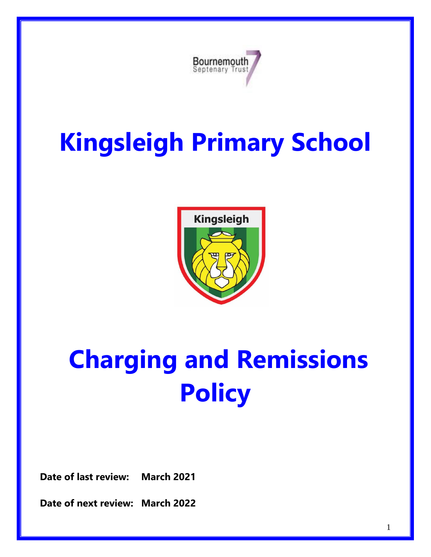

# **Kingsleigh Primary School**



# **Charging and Remissions Policy**

**Date of last review: March 2021**

**Date of next review: March 2022**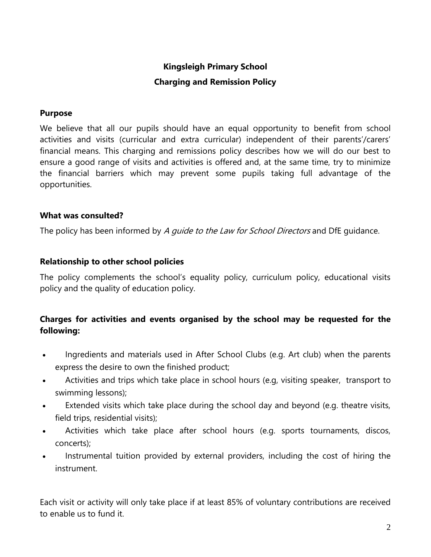# **Kingsleigh Primary School Charging and Remission Policy**

#### **Purpose**

We believe that all our pupils should have an equal opportunity to benefit from school activities and visits (curricular and extra curricular) independent of their parents'/carers' financial means. This charging and remissions policy describes how we will do our best to ensure a good range of visits and activities is offered and, at the same time, try to minimize the financial barriers which may prevent some pupils taking full advantage of the opportunities.

#### **What was consulted?**

The policy has been informed by A *quide to the Law for School Directors* and DfE quidance.

#### **Relationship to other school policies**

The policy complements the school's equality policy, curriculum policy, educational visits policy and the quality of education policy.

## **Charges for activities and events organised by the school may be requested for the following:**

- Ingredients and materials used in After School Clubs (e.g. Art club) when the parents express the desire to own the finished product;
- Activities and trips which take place in school hours (e.g, visiting speaker, transport to swimming lessons);
- Extended visits which take place during the school day and beyond (e.g. theatre visits, field trips, residential visits);
- Activities which take place after school hours (e.g. sports tournaments, discos, concerts);
- Instrumental tuition provided by external providers, including the cost of hiring the instrument.

Each visit or activity will only take place if at least 85% of voluntary contributions are received to enable us to fund it.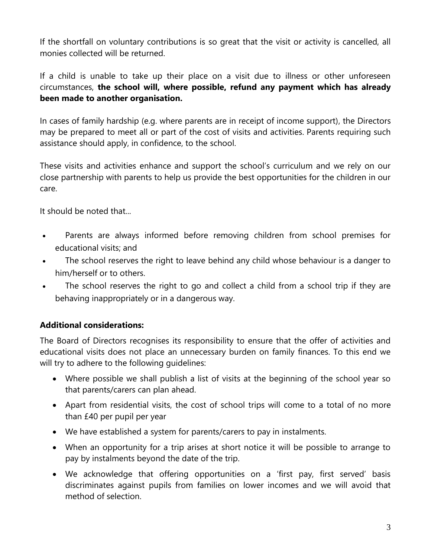If the shortfall on voluntary contributions is so great that the visit or activity is cancelled, all monies collected will be returned.

If a child is unable to take up their place on a visit due to illness or other unforeseen circumstances, **the school will, where possible, refund any payment which has already been made to another organisation.**

In cases of family hardship (e.g. where parents are in receipt of income support), the Directors may be prepared to meet all or part of the cost of visits and activities. Parents requiring such assistance should apply, in confidence, to the school.

These visits and activities enhance and support the school's curriculum and we rely on our close partnership with parents to help us provide the best opportunities for the children in our care.

It should be noted that...

- Parents are always informed before removing children from school premises for educational visits; and
- The school reserves the right to leave behind any child whose behaviour is a danger to him/herself or to others.
- The school reserves the right to go and collect a child from a school trip if they are behaving inappropriately or in a dangerous way.

## **Additional considerations:**

The Board of Directors recognises its responsibility to ensure that the offer of activities and educational visits does not place an unnecessary burden on family finances. To this end we will try to adhere to the following quidelines:

- Where possible we shall publish a list of visits at the beginning of the school year so that parents/carers can plan ahead.
- Apart from residential visits, the cost of school trips will come to a total of no more than £40 per pupil per year
- We have established a system for parents/carers to pay in instalments.
- When an opportunity for a trip arises at short notice it will be possible to arrange to pay by instalments beyond the date of the trip.
- We acknowledge that offering opportunities on a 'first pay, first served' basis discriminates against pupils from families on lower incomes and we will avoid that method of selection.